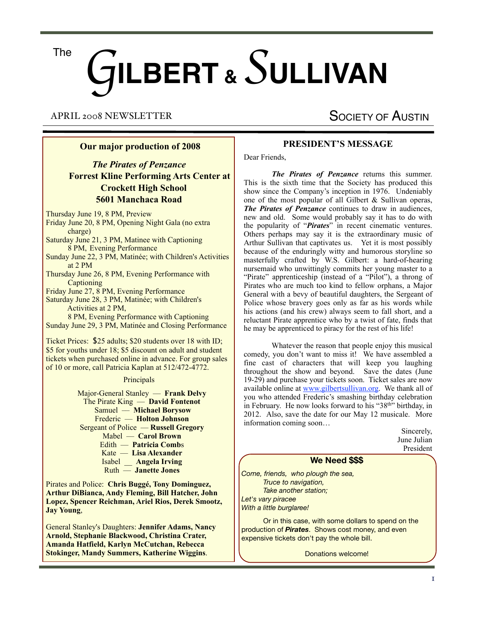# G**ILBERT &** *S* **ULLIVAN** The

APRIL 2008 NEWSLETTER

# **Our major production of 2008**

*The Pirates of Penzance*  **Forrest Kline Performing Arts Center at Crockett High School 5601 Manchaca Road**

Thursday June 19, 8 PM, Preview

- Friday June 20, 8 PM, Opening Night Gala (no extra charge)
- Saturday June 21, 3 PM, Matinee with Captioning 8 PM, Evening Performance
- Sunday June 22, 3 PM, Matinée; with Children's Activities at 2 PM

Thursday June 26, 8 PM, Evening Performance with **Captioning** 

Friday June 27, 8 PM, Evening Performance

Saturday June 28, 3 PM, Matinée; with Children's Activities at 2 PM,

 8 PM, Evening Performance with Captioning Sunday June 29, 3 PM, Matinée and Closing Performance

Ticket Prices: \$25 adults; \$20 students over 18 with ID; \$5 for youths under 18; \$5 discount on adult and student tickets when purchased online in advance. For group sales of 10 or more, call Patricia Kaplan at 512/472-4772.

#### Principals

 Major-General Stanley –– **Frank Delvy** The Pirate King –– **David Fontenot** Samuel –– **Michael Borysow** Frederic –– **Holton Johnson** Sergeant of Police –– **Russell Gregory** Mabel –– **Carol Brown** Edith –– **Patricia Comb**s Kate –– **Lisa Alexander** Isabel \_\_ **Angela Irving** Ruth –– **Janette Jones**

Pirates and Police: **Chris Buggé, Tony Dominguez, Arthur DiBianca, Andy Fleming, Bill Hatcher, John Lopez, Spencer Reichman, Ariel Rios, Derek Smootz, Jay Young**,

General Stanley's Daughters: **Jennifer Adams, Nancy Arnold, Stephanie Blackwood, Christina Crater, Amanda Hatfield, Karlyn McCutchan, Rebecca Stokinger, Mandy Summers, Katherine Wiggins**.

# **PRESIDENT'S MESSAGE**

SOCIETY OF AUSTIN

Dear Friends,

*The Pirates of Penzance* returns this summer. This is the sixth time that the Society has produced this show since the Company's inception in 1976. Undeniably one of the most popular of all Gilbert & Sullivan operas, *The Pirates of Penzance* continues to draw in audiences, new and old. Some would probably say it has to do with the popularity of "*Pirates*" in recent cinematic ventures. Others perhaps may say it is the extraordinary music of Arthur Sullivan that captivates us. Yet it is most possibly because of the enduringly witty and humorous storyline so masterfully crafted by W.S. Gilbert: a hard-of-hearing nursemaid who unwittingly commits her young master to a "Pirate" apprenticeship (instead of a "Pilot"), a throng of Pirates who are much too kind to fellow orphans, a Major General with a bevy of beautiful daughters, the Sergeant of Police whose bravery goes only as far as his words while his actions (and his crew) always seem to fall short, and a reluctant Pirate apprentice who by a twist of fate, finds that he may be apprenticed to piracy for the rest of his life!

 Whatever the reason that people enjoy this musical comedy, you don't want to miss it! We have assembled a fine cast of characters that will keep you laughing throughout the show and beyond. Save the dates (June 19-29) and purchase your tickets soon. Ticket sales are now available online at [www.gilbertsullivan.org.](http://www.gilbertsullivan.org) We thank all of you who attended Frederic's smashing birthday celebration in February. He now looks forward to his "38<sup>th</sup>" birthday, in 2012. Also, save the date for our May 12 musicale. More information coming soon…

| We Need \$\$\$ |                          |
|----------------|--------------------------|
|                | June Julian<br>President |
|                | Sincerely,               |

*Come, friends, who plough the sea, Truce to navigation, Take another station; Let's vary piracee With a little burglaree!*

Or in this case, with some dollars to spend on the production of *Pirates*. Shows cost money, and even expensive tickets don't pay the whole bill.

Donations welcome!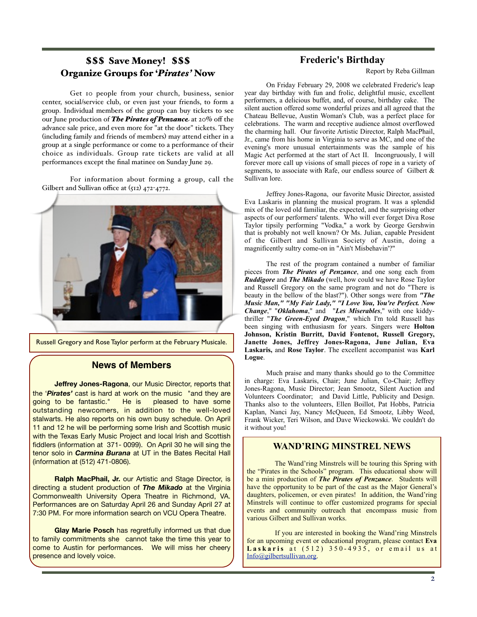# \$\$\$ Save Money! \$\$\$ Organize Groups for '*Pirates'* Now

Get 10 people from your church, business, senior center, social/service club, or even just your friends, to form a group. Individual members of the group can buy tickets to see our June production of *The Pirates of Penzance* at 20% off the advance sale price, and even more for "at the door" tickets. They (including family and friends of members) may attend either in a group at a single performance or come to a performance of their choice as individuals. Group rate tickets are valid at all performances except the final matinee on Sunday June 29.

For information about forming a group, call the Gilbert and Sullivan office at (512) 472-4772.



Russell Gregory and Rose Taylor perform at the February Musicale.

# **News of Members**

**Jeffrey Jones-Ragona**, our Music Director, reports that the '*Pirates'* cast is hard at work on the music "and they are going to be fantastic." He is pleased to have some outstanding newcomers, in addition to the well-loved stalwarts. He also reports on his own busy schedule. On April 11 and 12 he will be performing some Irish and Scottish music with the Texas Early Music Project and local Irish and Scottish fiddlers (information at 371- 0099). On April 30 he will sing the tenor solo in *Carmina Burana* at UT in the Bates Recital Hall (information at (512) 471-0806).

**Ralph MacPhail, Jr.** our Artistic and Stage Director, is directing a student production of *The Mikado* at the Virginia Commonwealth University Opera Theatre in Richmond, VA. Performances are on Saturday April 26 and Sunday April 27 at 7:30 PM. For more information search on VCU Opera Theatre.

**Glay Marie Posch** has regretfully informed us that due to family commitments she cannot take the time this year to come to Austin for performances. We will miss her cheery presence and lovely voice.

# **Frederic's Birthday**

Report by Reba Gillman

 On Friday February 29, 2008 we celebrated Frederic's leap year day birthday with fun and frolic, delightful music, excellent performers, a delicious buffet, and, of course, birthday cake. The silent auction offered some wonderful prizes and all agreed that the Chateau Bellevue, Austin Woman's Club, was a perfect place for celebrations. The warm and receptive audience almost overflowed the charming hall. Our favorite Artistic Director, Ralph MacPhail, Jr., came from his home in Virginia to serve as MC, and one of the evening's more unusual entertainments was the sample of his Magic Act performed at the start of Act II. Incongruously, I will forever more call up visions of small pieces of rope in a variety of segments, to associate with Rafe, our endless source of Gilbert & Sullivan lore.

 Jeffrey Jones-Ragona, our favorite Music Director, assisted Eva Laskaris in planning the musical program. It was a splendid mix of the loved old familiar, the expected, and the surprising other aspects of our performers' talents. Who will ever forget Diva Rose Taylor tipsily performing "Vodka," a work by George Gershwin that is probably not well known? Or Ms. Julian, capable President of the Gilbert and Sullivan Society of Austin, doing a magnificently sultry come-on in "Ain't Misbehavin'?"

 The rest of the program contained a number of familiar pieces from *The Pirates of Penzance*, and one song each from *Ruddigore* and *The Mikado* (well, how could we have Rose Taylor and Russell Gregory on the same program and not do "There is beauty in the bellow of the blast?"). Other songs were from *"The Music Man," "My Fair Lady," "I Love You, You're Perfect. Now Change*," "*Oklahoma*," and "*Les Miserables*," with one kiddythriller "*The Green-Eyed Dragon*," which I'm told Russell has been singing with enthusiasm for years. Singers were **Holton Johnson, Kristin Burritt, David Fontenot, Russell Gregory, Janette Jones, Jeffrey Jones-Ragona, June Julian, Eva Laskaris,** and **Rose Taylor**. The excellent accompanist was **Karl Logue**.

 Much praise and many thanks should go to the Committee in charge: Eva Laskaris, Chair; June Julian, Co-Chair; Jeffrey Jones-Ragona, Music Director; Jean Smootz, Silent Auction and Volunteers Coordinator; and David Little, Publicity and Design. Thanks also to the volunteers, Ellen Boillot, Pat Hobbs, Patricia Kaplan, Nanci Jay, Nancy McQueen, Ed Smootz, Libby Weed, Frank Wicker, Teri Wilson, and Dave Wieckowski. We couldn't do it without you!

### **WAND'RING MINSTREL NEWS**

 The Wand'ring Minstrels will be touring this Spring with the "Pirates in the Schools" program. This educational show will be a mini production of *The Pirates of Penzance*. Students will have the opportunity to be part of the cast as the Major General's daughters, policemen, or even pirates! In addition, the Wand'ring Minstrels will continue to offer customized programs for special events and community outreach that encompass music from various Gilbert and Sullivan works.

 If you are interested in booking the Wand'ring Minstrels for an upcoming event or educational program, please contact **Eva**  Laskaris at (512) 350-4935, or email us at [Info@gilbertsullivan.org.](mailto:Info@gilbertsullivan.org)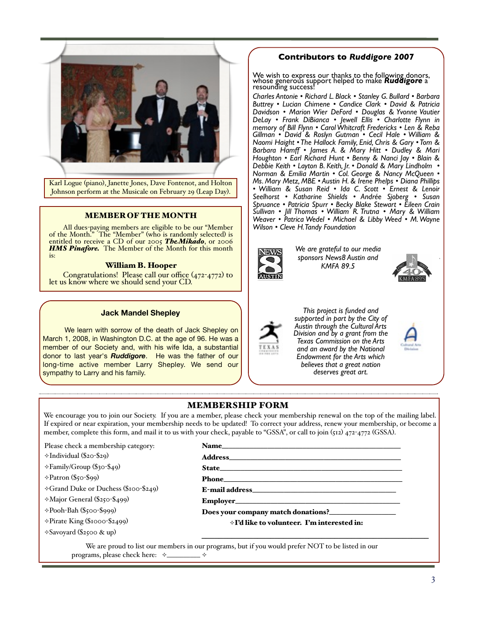

 $\frac{\text{run}}{\text{fohnson}}$ characters, but never utilized a sound himself. Surprisingly the sound of the sound himself. Surprisingly this was in the sound of the sound of the sound of the sound of the sound of the sound of the sound of the sound of Karl Logue (piano), Janette Jones, Dave Fontenot, and Holton Ms. Mary *i* Johnson perform at the Musicale on February 29 (Leap Day).  $\parallel \cdot \text{William}$ 

# **MEMBER OF THE MONTH**  $\begin{bmatrix} \text{Sullivan} \\ \text{Wegver} \end{bmatrix}$

 $\overline{\mathbf{A}}$  and  $\overline{\mathbf{A}}$  and  $\overline{\mathbf{A}}$  $\log M$ entitled and Old Adam, and Old Adam, and Michael Boryson, but not as the dashing, but not as the dashing, but <br>External Borger and Michael Borger as the data straight and Michael Borger and Michael Borger and Michael Borg  $\frac{11}{16}$ All dues-paying members are eligible to be our "Member Wedvel" of the Month." The "Member" (who is randomly selected) is<br>entitled to receive a CD of our apper The Mihade, or 2006 We are grateful to our media sponsors, **HMS Pinafore.** The Member of the Month for this month **REGISTER STAR We** are grateful to our not entitled to receive a CD of our 2005 *TheMikado*, or 2006 is:

# **William B. Hooper Ruddigorer Ruddigorer Ruddigorer RMFA 89.5**

 $\overline{C}$  $\text{Congratulations! Please call our office (472-4772) to }$ let us know where we should send your CD.

#### **Arts Division and by a grant from Book** Mandel Shepley

lead in die twee finished we finished up all singing "Hail Poetry" as is our wonder "Hail Poetry" as is our wo<br>Die twee finished up all poetry wont as in 1970 as is our wont. Hail Poetry is our wont of the singing structu March 1, 2008, in Washington D.C. at the age of 96. He was a  $\sim$  Fexas Commission on the UV of  $\sim$  Texas Commission on the up all the single values. member of our Society and, with his wife Ida, a substantial  $\left| \begin{array}{ccc} \text{TEXAS} & \text{and an award by the N} \end{array} \right|$ long-time active member Larry Shepley. We send our sympathy to Larry and his family.  $\frac{1}{2}$  and  $\frac{1}{2}$  and  $\frac{1}{2}$  is retired here can work on a work on a work on a work on a work on a work on a work on a work on a work on a work on a work on a work on a work on a work on a work on a work on a wor We learn with sorrow of the death of Jack Shepley on  $\sum_{\text{Division and by a graph f}}$ donor to last year's **Ruddigore**. He was the father of our **Figure 1** Endowment for the Arts Those present were: Lucian Chimene, Frank & Donna Delvy,

# $\overline{a}$

We wish to express our thanks to the following donors, whose generous support helped to make *Ruddigore* a resounding success!  $\blacksquare$ Stanley G. Bullard • Lucian Chimene • Candice ring donors,<br>**iddigore** a Yvonnes

resounding success:<br>Charles Antonie • Richard L. Black • Stanley G. Bullard • Barbara I Buttrey . Lucian Chimene . Candice Clark . David & Patricia **Davidson • Marion Wier DeFord • Douglas & Yvonne Vautier** *DeLay • Frank DiBianca • Jewell Ellis • Charlotte Flynn in*  **Man Flynn in** Pelay • Frank DiBianca • Jewell Ellis • Charlotte Flynn in memory of Bill Flynn • Carol Whitcraft Fredericks • Len & Reba **Gillman • David & Roslyn Gutman • Cecil Hale • William & National Property — Kathy Found & Rossylv Guillant • Cecil Figure — William & Collection**<br>
Naomi Haight • The Hallock Family, Enid, Chris & Gary • Tom & **Barbara Hamff • James A. & Mary Hitt • Dudley & Mari Houghtons and Functions and Functions and Functions and Functions and Functions and Functions and Functions and Functions and Functions and Functions and Functions an Houghton • Earl Richard Hunt • Benny & Nanci Jay • Blain &** Debbie Keith • Layton B. Keith, Jr. • Donald & Mary Lindholm • *Norman & Emilia Martin • Col. George & Nancy McQueen •*  **Mary Metz, Mary Metz, Mary • Col. George & Nancy McQueen • [88] [89] Norman & Emilia Martin • Col. George & Nancy McQueen • [89] [89] Ms. Mary Metz, MBE • Austin H. & Irene Phelps • Diana Phillips | 89] Ms. Mary Metz, MBE** *• William & Susan Reid • Ida C. Scott • Ernest & Lenoir Seelhorst • Katharine Shields • Andrée Sjoberg • Susan*  Seembrate Change of Beethorst Change Sherida Spurr . Becky Blake Stewart . Eileen Crain Sullivan • Jill Thomas • William´ R. Trutna • Mary & William |<br>Wagyar • Patrice Wodel • Michael & Libby Wood • M Wayne | *Weaver • Patrica Wedel • Michael & Libby Weed • M. Wayne*  igible to be our "Member | | Wilson • Cleve H. Tandy Foundation  $\blacksquare$  memory of Bill Flynn  $\blacksquare$  Carol Whiteraft  $\frac{1}{1}$  with his name is not stolen stage and motion state and was supported to be supported to be supported to be supported to be supported to be supported to be supported to be supported to be supported to be supporte Le on February 29 (Leap Day). Seelhorst • Katharine Shields • Andrée Sjoberg • Susan C. Scott • Ernest & Lenoir c rvonne vauuer<br>arlotte Flynn in  $\frac{dS}{dt}$  • Len & Reba  $\begin{bmatrix} 1 & 0 & 0 \\ 0 & 0 & 0 \\ 0 & 0 & 0 \\ 0 & 0 & 0 \\ 0 & 0 & 0 \\ 0 & 0 & 0 \\ 0 & 0 & 0 \\ 0 & 0 & 0 \\ 0 & 0 & 0 \\ 0 & 0 & 0 \\ 0 & 0 & 0 \\ 0 & 0 & 0 \\ 0 & 0 & 0 \\ 0 & 0 & 0 & 0 \\ 0 & 0 & 0 & 0 \\ 0 & 0 & 0 & 0 \\ 0 & 0 & 0 & 0 \\ 0 & 0 & 0 & 0 \\ 0 & 0 & 0 & 0 & 0 \\ 0 & 0 & 0 & 0 & 0 \\ 0 & 0 &$ 



But Eva stepped in to say, "This seems like a happy ending, but

*We are grateful to our media*  **be altogether trustworthy, Richard Dauntless, a delightful short version of the short version and altogether trustworthy, Richard Dauntless, a delightful short version of the short version of the short version of the shor** *KMFA 89.5*



Weed • M. Wayne Wilson



**Example 8 Sullivan Won't leave it at the Sullivan Won't Sullivan Won't Sullivan Won't Real Shepley ends come to come to supported** in part by the City of *Austin through the Cultural Arts Division and by a grant from the Texas Commission on the Arts and an award by the National Endowment for the Arts which believes that a great nation deserves great art.*

#### more flexible schedule. He reports that the two ElderHostel summer summer  $\sim$ sessions in Connecticut have been rescheduled for a less hot and human rescheduled for a less hot and human rescheduled for and human rescheduled for a less hot and human rescheduled for a less hot and human rescheduled fo Katy Fontenot, Len & Reba Gillman, Russell & Kay Gregory, Benny  $\overline{\phantom{a}}$   $\overline{\phantom{a}}$   $\overline{\phantom{a}}$   $\overline{\phantom{a}}$   $\overline{\phantom{a}}$   $\overline{\phantom{a}}$   $\overline{\phantom{a}}$   $\overline{\phantom{a}}$   $\overline{\phantom{a}}$   $\overline{\phantom{a}}$   $\overline{\phantom{a}}$   $\overline{\phantom{a}}$   $\overline{\phantom{a}}$   $\overline{\phantom{a}}$   $\overline{\phantom{a}}$   $\overline{\phantom{a}}$   $\overline{\phantom{a}}$   $\overline{\phantom{a}}$   $\overline{\$

**MEMBERSHIP FORM EXALMEDITION IT COLVE TO SERVE THE SERVE THE SERVE THE STATE OF A THE UP ASSESS** WE encourage you to join our Society. If you are a member, please check your membership renewal on the top of the mailing label. If expired or near expiration, your membership needs to be updated! To correct your address, renew your membership, or become a member, complete this form, and mail it to us with your check, payable to "GSSA", or call to join (512) 472-4772 (GSSA). and Libby Weed; and performers Lynda Oswalt, Piano; Eva Laskaris, Piano; Eva Laskaris, Piano; Eva Laskaris, Pi  $\begin{array}{ccc} \n\text{wcc} & \text{circ} & \text{circ} \\
\hline\n\text{r} & \text{c} & \text{d} \\
\end{array}$ ou to join our society. If you are a member, piease check your mer MEMDENSHIP FUNM Ciety. If you are a member, please check your membership renewal on the top of the maining label. refluences to be used; and the correct your address, refluences the property  $\frac{1}{2}$  is to us with required and property  $\frac{1}{2}$  and  $\frac{1}{2}$  is the set of  $\frac{1}{2}$  $S_{\text{SUSY}}$   $\frac{1}{2}$   $\frac{1}{2}$   $\frac{1}{2}$   $\frac{1}{2}$   $\frac{1}{2}$   $\frac{1}{2}$   $\frac{1}{2}$   $\frac{1}{2}$   $\frac{1}{2}$   $\frac{1}{2}$   $\frac{1}{2}$   $\frac{1}{2}$   $\frac{1}{2}$   $\frac{1}{2}$   $\frac{1}{2}$   $\frac{1}{2}$   $\frac{1}{2}$   $\frac{1}{2}$   $\frac{1}{2}$   $\frac{1}{2}$   $\frac{1}{2}$ Sessions in Connecticut have been rescheduled for a less hot and hu- $\sum_{\lambda}$  of become a  $\mathcal{L}$ introductory" program:  $\mathcal{L}$ 

Please check a membership category: **Name\_\_\_\_\_\_\_\_\_\_\_\_\_**<br>A fontenot, Baritone. Note: Avery good time was had by all. It is too bad that unusually slow delivery of the May Newsletter reduced the May Newsletter reduced to the May Newsletter reduced the attend

 $\div$ Individual (\$20-\$29) some people did not get their Newsletter until after the event.

very effective, and apparently involving the children in this way is

of *Ruddigore* was presented. Material was almost entirely from Act

But Eva stepped in to say, "This seems like a happy ending, but Gilbert & Sullivan won't leave it at that. To find out how it really

Eva then introduced David Fontenot to sing the Pirate King's

 $\overline{\phantom{a}}$  ,  $\overline{\phantom{a}}$  ,  $\overline{\phantom{a}}$  ,  $\overline{\phantom{a}}$  ,  $\overline{\phantom{a}}$  ,  $\overline{\phantom{a}}$  ,  $\overline{\phantom{a}}$  ,  $\overline{\phantom{a}}$  ,  $\overline{\phantom{a}}$  ,  $\overline{\phantom{a}}$  ,  $\overline{\phantom{a}}$  ,  $\overline{\phantom{a}}$  ,  $\overline{\phantom{a}}$  ,  $\overline{\phantom{a}}$  ,  $\overline{\phantom{a}}$  ,  $\overline{\phantom{a}}$ John Mast, Nancy McQueen, Gaylon Oswalt, Charles & Diane Radin, Steve & Eve Schwartzman, Larry Shepley, Andrée Sjoberg,

Congratulations! Please call our office (472-4772) to let us know

⟡Family/Group (\$30-\$49)  $\mathcal{A}$  MacPhail,  $\mathcal{A}$  and  $\mathcal{A}$  $\text{State}$  emergence  $\text{State}$ 

 $\Diamond$ Patron (\$50-\$99)

⟡Grand Duke or Duchess (\$100-\$249)  $\text{E-mail address}$   $\text{E-mail address}$  $\overline{p}$  dues-paying members are eligible to be our  $\overline{p}$ 

 $\Diamond$ Major General (\$250-\$499)  $\gamma$ Ma

⟡Pooh-Bah (\$500-\$999)  $\rightarrow$  Poo

⟡Pirate King (\$1000-\$2499)

 $\Diamond$ Savoyard (\$2500 & up)  $\alpha$  k under wave three decades, has published can be published contained critical function  $\alpha$ scores, vocal scores, and orchestrations of *Trial by Jury* and *H.M.S.* 

# Name\_\_\_\_\_\_\_\_\_\_\_\_\_\_\_\_\_\_\_\_\_\_\_\_\_\_\_\_\_\_\_\_\_\_\_\_\_\_\_\_\_\_\_\_\_\_\_\_\_\_\_

Address\_\_\_\_\_\_\_\_\_\_\_\_\_\_\_\_\_\_\_\_\_\_\_\_\_\_\_\_\_\_\_\_\_\_\_\_\_\_\_\_\_\_\_\_\_\_\_\_\_  $Address$ 

We are pleased to receive funding funding funding funding funding funding funding funding funding funding funding  $\sim$ the City of Austin under the Cultural

State\_\_\_\_\_\_\_\_\_\_\_\_\_\_\_\_\_\_\_\_\_\_\_\_\_\_\_\_\_\_\_\_\_\_\_\_\_\_\_\_\_\_\_\_\_\_\_\_\_\_\_\_ State<sub>r</sub> and May Newsletter reduced the May Newsletter reduced the attendance, because the attendance, because the attendance, because the attendance, because the attendance, because the attendance, because the attendance,

 $\mathbf{p}_{\text{home}}$  and its editorial board for the event. Matter until after the event of the event. Matter until after the event of the event.

 $\sum_{i=1}^{N}$  in  $\sum_{i=1}^{N}$  and the time called upon for a set  $\sum_{i=1}^{N}$ 

Employer\_\_\_\_\_\_\_\_\_\_\_\_\_\_\_\_\_\_\_\_\_\_\_\_\_\_\_\_\_\_\_\_\_\_\_\_\_\_\_\_\_\_\_\_\_\_\_ **Member of the Month**  $\text{empioyer}\_\_\_\_\_\_\_\_\_\_\_\_\_\_\_\_\_\_\_$ 

 $\circ$ -\$999) have in the state of  $\mathbf D$  or  $\mathbf S$  bees your company match donations?  $\Box$  in the introduction  $\mathbf S$ 

ed) is entitled to receive a CD of our 2005 *Mikado*. The Member

ooo-\$2499) <br>source descriptions, appendices, etc. to reduce the projections, which is the projection of the project of the<br>source of the project of the project of the project of the project of the project of the project of the Month Continue of the Member of the Member of the Member of the Member of the Member of the Member of the Member of the Member of the Member of the Member of the Member of the Member of the Member of the Member of the

 $\overline{\phantom{a}}$  , and the contract of the contract of the contract of the contract of the contract of the contract of the contract of the contract of the contract of the contract of the contract of the contract of the contrac

We are proud to list our members in our programs, but if you would prefer NOT to be listed in our programs, please check here:  $\rightarrow \rightarrow \rightarrow$ **Theresa Wilson**

**ElderHostel — Incarnation Center, Connecticut**

We are pleased to receive funding from the City of Austin under the Cultural Arts Division and by a grant from the Texas Commission on the Arts.

We are grateful to our media sponsors,

erous support will help make Ruddigore a resounding success! These names and those of additional donors will be recognized as  $\mathcal{O}(\mathcal{A})$ 

more flexible schedule. He reports that the two ElderHostel summer

*The Big Three*, October 7 – 12, 2007. For more information address Rafe directly through his email: RMacPhai@Bridgewater.Edu.

**Rafe to Serve on Gilbert & Sullivan Board**  Ralph MacPhail, Jr., Professor of Theatre and Communication Studies  $\equiv$  Bridgewater College, has been invited by Brothers  $\frac{1}{\sqrt{2}}$  and  $\frac{1}{\sqrt{2}}$  and  $\frac{1}{\sqrt{2}}$  and  $\frac{1}{\sqrt{2}}$  and  $\frac{1}{\sqrt{2}}$  and  $\frac{1}{\sqrt{2}}$ critical edition of the operas of Gilbert and Sullivan. According to the invitation, "Members are from time to time called upon for advice, asked to assist editors by providing copies of source material they may have in the introductions of interactions of interactions, and  $q$ source descriptions, appendices, etc. to review." The project, which has been under way for over three decades, has published critical full scores, vocal scores, and orchestrations of *Trial by Jury* and *H.M.S.* 

Now that Ralph MacPhail, Jr. is retired he can work on a